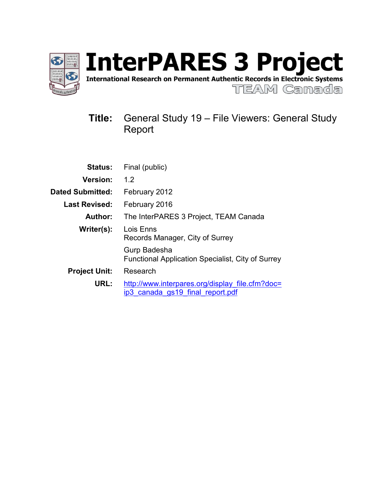

International Research on Permanent Authentic Records in Electronic Systems

TEAM Canada

# **Title:** General Study 19 – File Viewers: General Study Report

| <b>Status:</b>          | Final (public)                                                                      |
|-------------------------|-------------------------------------------------------------------------------------|
| <b>Version:</b>         | 1.2                                                                                 |
| <b>Dated Submitted:</b> | February 2012                                                                       |
| <b>Last Revised:</b>    | February 2016                                                                       |
| Author:                 | The InterPARES 3 Project, TEAM Canada                                               |
| Writer(s):              | Lois Enns<br>Records Manager, City of Surrey                                        |
|                         | Gurp Badesha<br><b>Functional Application Specialist, City of Surrey</b>            |
| <b>Project Unit:</b>    | Research                                                                            |
| URL:                    | http://www.interpares.org/display file.cfm?doc=<br>ip3 canada gs19 final report.pdf |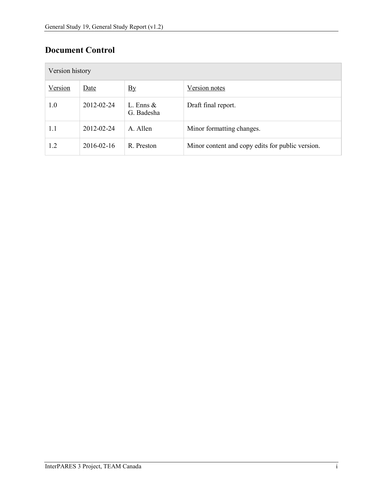# **Document Control**

| Version history |            |                            |                                                  |  |  |  |  |  |  |  |
|-----------------|------------|----------------------------|--------------------------------------------------|--|--|--|--|--|--|--|
| Version         | Date       | $\mathbf{B}$ y             | Version notes                                    |  |  |  |  |  |  |  |
| 1.0             | 2012-02-24 | L. Enns $\&$<br>G. Badesha | Draft final report.                              |  |  |  |  |  |  |  |
| 1.1             | 2012-02-24 | A. Allen                   | Minor formatting changes.                        |  |  |  |  |  |  |  |
| 1.2             | 2016-02-16 | R. Preston                 | Minor content and copy edits for public version. |  |  |  |  |  |  |  |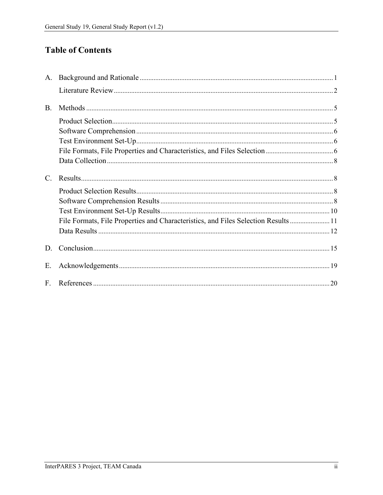# **Table of Contents**

| А.          |                                                                                    |  |
|-------------|------------------------------------------------------------------------------------|--|
|             |                                                                                    |  |
| <b>B.</b>   |                                                                                    |  |
|             |                                                                                    |  |
|             |                                                                                    |  |
|             |                                                                                    |  |
|             |                                                                                    |  |
|             |                                                                                    |  |
| $C_{\cdot}$ |                                                                                    |  |
|             |                                                                                    |  |
|             |                                                                                    |  |
|             |                                                                                    |  |
|             |                                                                                    |  |
|             | File Formats, File Properties and Characteristics, and Files Selection Results  11 |  |
|             |                                                                                    |  |
| D.          |                                                                                    |  |
| Ε.          |                                                                                    |  |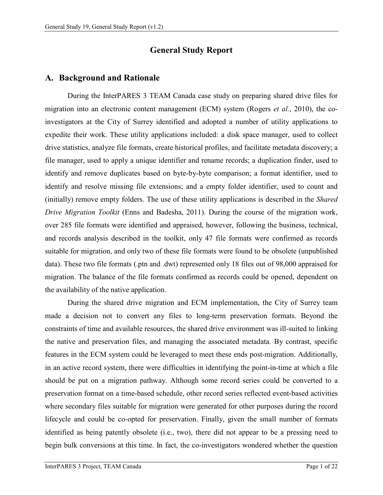# **General Study Report**

## <span id="page-3-0"></span>**A. Background and Rationale**

During the InterPARES 3 TEAM Canada case study on preparing shared drive files for migration into an electronic content management (ECM) system (Rogers *et al.*, 2010), the coinvestigators at the City of Surrey identified and adopted a number of utility applications to expedite their work. These utility applications included: a disk space manager, used to collect drive statistics, analyze file formats, create historical profiles, and facilitate metadata discovery; a file manager, used to apply a unique identifier and rename records; a duplication finder, used to identify and remove duplicates based on byte-by-byte comparison; a format identifier, used to identify and resolve missing file extensions; and a empty folder identifier, used to count and (initially) remove empty folders. The use of these utility applications is described in the *Shared Drive Migration Toolkit* (Enns and Badesha, 2011). During the course of the migration work, over 285 file formats were identified and appraised, however, following the business, technical, and records analysis described in the toolkit, only 47 file formats were confirmed as records suitable for migration, and only two of these file formats were found to be obsolete (unpublished data). These two file formats (.ptn and .dwt) represented only 18 files out of 98,000 appraised for migration. The balance of the file formats confirmed as records could be opened, dependent on the availability of the native application.

During the shared drive migration and ECM implementation, the City of Surrey team made a decision not to convert any files to long-term preservation formats. Beyond the constraints of time and available resources, the shared drive environment was ill-suited to linking the native and preservation files, and managing the associated metadata. By contrast, specific features in the ECM system could be leveraged to meet these ends post-migration. Additionally, in an active record system, there were difficulties in identifying the point-in-time at which a file should be put on a migration pathway. Although some record series could be converted to a preservation format on a time-based schedule, other record series reflected event-based activities where secondary files suitable for migration were generated for other purposes during the record lifecycle and could be co-opted for preservation. Finally, given the small number of formats identified as being patently obsolete (i.e., two), there did not appear to be a pressing need to begin bulk conversions at this time. In fact, the co-investigators wondered whether the question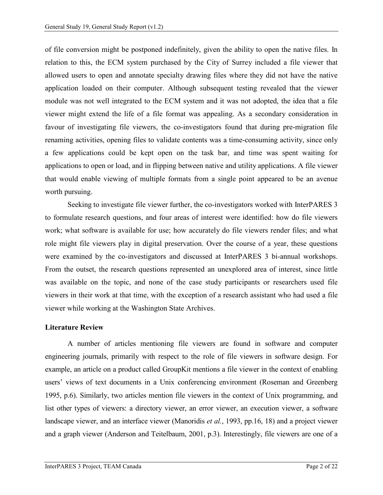of file conversion might be postponed indefinitely, given the ability to open the native files. In relation to this, the ECM system purchased by the City of Surrey included a file viewer that allowed users to open and annotate specialty drawing files where they did not have the native application loaded on their computer. Although subsequent testing revealed that the viewer module was not well integrated to the ECM system and it was not adopted, the idea that a file viewer might extend the life of a file format was appealing. As a secondary consideration in favour of investigating file viewers, the co-investigators found that during pre-migration file renaming activities, opening files to validate contents was a time-consuming activity, since only a few applications could be kept open on the task bar, and time was spent waiting for applications to open or load, and in flipping between native and utility applications. A file viewer that would enable viewing of multiple formats from a single point appeared to be an avenue worth pursuing.

Seeking to investigate file viewer further, the co-investigators worked with InterPARES 3 to formulate research questions, and four areas of interest were identified: how do file viewers work; what software is available for use; how accurately do file viewers render files; and what role might file viewers play in digital preservation. Over the course of a year, these questions were examined by the co-investigators and discussed at InterPARES 3 bi-annual workshops. From the outset, the research questions represented an unexplored area of interest, since little was available on the topic, and none of the case study participants or researchers used file viewers in their work at that time, with the exception of a research assistant who had used a file viewer while working at the Washington State Archives.

### <span id="page-4-0"></span>**Literature Review**

A number of articles mentioning file viewers are found in software and computer engineering journals, primarily with respect to the role of file viewers in software design. For example, an article on a product called GroupKit mentions a file viewer in the context of enabling users' views of text documents in a Unix conferencing environment (Roseman and Greenberg 1995, p.6). Similarly, two articles mention file viewers in the context of Unix programming, and list other types of viewers: a directory viewer, an error viewer, an execution viewer, a software landscape viewer, and an interface viewer (Manoridis *et al.*, 1993, pp.16, 18) and a project viewer and a graph viewer (Anderson and Teitelbaum, 2001, p.3). Interestingly, file viewers are one of a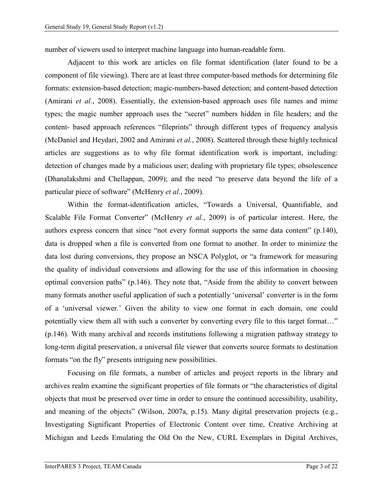number of viewers used to interpret machine language into human-readable form.

Adjacent to this work are articles on file format identification (later found to be a component of file viewing). There are at least three computer-based methods for determining file formats: extension-based detection; magic-numbers-based detection; and content-based detection (Amirani *et al.*, 2008). Essentially, the extension-based approach uses file names and mime types; the magic number approach uses the "secret" numbers hidden in file headers; and the content- based approach references "fileprints" through different types of frequency analysis (McDaniel and Heydari, 2002 and Amirani *et al.*, 2008). Scattered through these highly technical articles are suggestions as to why file format identification work is important, including: detection of changes made by a malicious user; dealing with proprietary file types; obsolescence (Dhanalakshmi and Chellappan, 2009); and the need "to preserve data beyond the life of a particular piece of software" (McHenry *et al.*, 2009).

Within the format-identification articles, "Towards a Universal, Quantifiable, and Scalable File Format Converter" (McHenry *et al.*, 2009) is of particular interest. Here, the authors express concern that since "not every format supports the same data content" (p.140), data is dropped when a file is converted from one format to another. In order to minimize the data lost during conversions, they propose an NSCA Polyglot, or "a framework for measuring the quality of individual conversions and allowing for the use of this information in choosing optimal conversion paths" (p.146). They note that, "Aside from the ability to convert between many formats another useful application of such a potentially 'universal' converter is in the form of a 'universal viewer.' Given the ability to view one format in each domain, one could potentially view them all with such a converter by converting every file to this target format..." (p.146). With many archival and records institutions following a migration pathway strategy to long-term digital preservation, a universal file viewer that converts source formats to destination formats "on the fly" presents intriguing new possibilities.

Focusing on file formats, a number of articles and project reports in the library and archives realm examine the significant properties of file formats or "the characteristics of digital objects that must be preserved over time in order to ensure the continued accessibility, usability, and meaning of the objects" (Wilson, 2007a, p.15). Many digital preservation projects (e.g., Investigating Significant Properties of Electronic Content over time, Creative Archiving at Michigan and Leeds Emulating the Old On the New, CURL Exemplars in Digital Archives,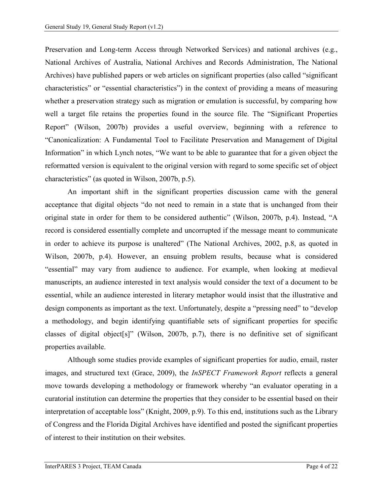Preservation and Long-term Access through Networked Services) and national archives (e.g., National Archives of Australia, National Archives and Records Administration, The National Archives) have published papers or web articles on significant properties (also called "significant characteristics" or "essential characteristics") in the context of providing a means of measuring whether a preservation strategy such as migration or emulation is successful, by comparing how well a target file retains the properties found in the source file. The "Significant Properties Report" (Wilson, 2007b) provides a useful overview, beginning with a reference to "Canonicalization: A Fundamental Tool to Facilitate Preservation and Management of Digital Information" in which Lynch notes, "We want to be able to guarantee that for a given object the reformatted version is equivalent to the original version with regard to some specific set of object characteristics" (as quoted in Wilson, 2007b, p.5).

An important shift in the significant properties discussion came with the general acceptance that digital objects "do not need to remain in a state that is unchanged from their original state in order for them to be considered authentic" (Wilson, 2007b, p.4). Instead, "A record is considered essentially complete and uncorrupted if the message meant to communicate in order to achieve its purpose is unaltered" (The National Archives, 2002, p.8, as quoted in Wilson, 2007b, p.4). However, an ensuing problem results, because what is considered "essential" may vary from audience to audience. For example, when looking at medieval manuscripts, an audience interested in text analysis would consider the text of a document to be essential, while an audience interested in literary metaphor would insist that the illustrative and design components as important as the text. Unfortunately, despite a "pressing need" to "develop a methodology, and begin identifying quantifiable sets of significant properties for specific classes of digital object[s]" (Wilson, 2007b, p.7), there is no definitive set of significant properties available.

Although some studies provide examples of significant properties for audio, email, raster images, and structured text (Grace, 2009), the *InSPECT Framework Report* reflects a general move towards developing a methodology or framework whereby "an evaluator operating in a curatorial institution can determine the properties that they consider to be essential based on their interpretation of acceptable loss" (Knight, 2009, p.9). To this end, institutions such as the Library of Congress and the Florida Digital Archives have identified and posted the significant properties of interest to their institution on their websites.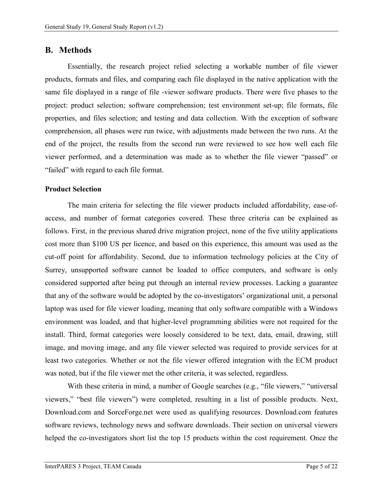### <span id="page-7-0"></span>**B. Methods**

Essentially, the research project relied selecting a workable number of file viewer products, formats and files, and comparing each file displayed in the native application with the same file displayed in a range of file -viewer software products. There were five phases to the project: product selection; software comprehension; test environment set-up; file formats, file properties, and files selection; and testing and data collection. With the exception of software comprehension, all phases were run twice, with adjustments made between the two runs. At the end of the project, the results from the second run were reviewed to see how well each file viewer performed, and a determination was made as to whether the file viewer "passed" or "failed" with regard to each file format.

#### <span id="page-7-1"></span>**Product Selection**

The main criteria for selecting the file viewer products included affordability, ease-ofaccess, and number of format categories covered. These three criteria can be explained as follows. First, in the previous shared drive migration project, none of the five utility applications cost more than \$100 US per licence, and based on this experience, this amount was used as the cut-off point for affordability. Second, due to information technology policies at the City of Surrey, unsupported software cannot be loaded to office computers, and software is only considered supported after being put through an internal review processes. Lacking a guarantee that any of the software would be adopted by the co-investigators' organizational unit, a personal laptop was used for file viewer loading, meaning that only software compatible with a Windows environment was loaded, and that higher-level programming abilities were not required for the install. Third, format categories were loosely considered to be text, data, email, drawing, still image, and moving image, and any file viewer selected was required to provide services for at least two categories. Whether or not the file viewer offered integration with the ECM product was noted, but if the file viewer met the other criteria, it was selected, regardless.

With these criteria in mind, a number of Google searches (e.g., "file viewers," "universal viewers," "best file viewers") were completed, resulting in a list of possible products. Next, Download.com and SorceForge.net were used as qualifying resources. Download.com features software reviews, technology news and software downloads. Their section on universal viewers helped the co-investigators short list the top 15 products within the cost requirement. Once the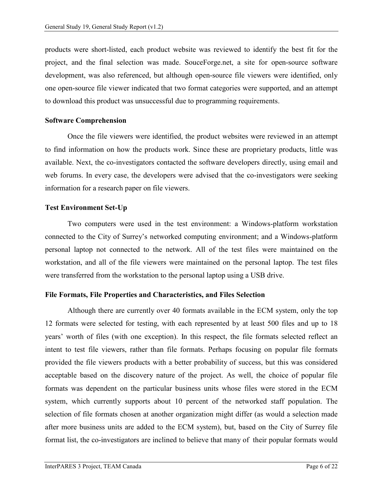products were short-listed, each product website was reviewed to identify the best fit for the project, and the final selection was made. SouceForge.net, a site for open-source software development, was also referenced, but although open-source file viewers were identified, only one open-source file viewer indicated that two format categories were supported, and an attempt to download this product was unsuccessful due to programming requirements.

#### <span id="page-8-0"></span>**Software Comprehension**

Once the file viewers were identified, the product websites were reviewed in an attempt to find information on how the products work. Since these are proprietary products, little was available. Next, the co-investigators contacted the software developers directly, using email and web forums. In every case, the developers were advised that the co-investigators were seeking information for a research paper on file viewers.

#### <span id="page-8-1"></span>**Test Environment Set-Up**

Two computers were used in the test environment: a Windows-platform workstation connected to the City of Surrey's networked computing environment; and a Windows-platform personal laptop not connected to the network. All of the test files were maintained on the workstation, and all of the file viewers were maintained on the personal laptop. The test files were transferred from the workstation to the personal laptop using a USB drive.

#### <span id="page-8-2"></span>**File Formats, File Properties and Characteristics, and Files Selection**

Although there are currently over 40 formats available in the ECM system, only the top 12 formats were selected for testing, with each represented by at least 500 files and up to 18 years' worth of files (with one exception). In this respect, the file formats selected reflect an intent to test file viewers, rather than file formats. Perhaps focusing on popular file formats provided the file viewers products with a better probability of success, but this was considered acceptable based on the discovery nature of the project. As well, the choice of popular file formats was dependent on the particular business units whose files were stored in the ECM system, which currently supports about 10 percent of the networked staff population. The selection of file formats chosen at another organization might differ (as would a selection made after more business units are added to the ECM system), but, based on the City of Surrey file format list, the co-investigators are inclined to believe that many of their popular formats would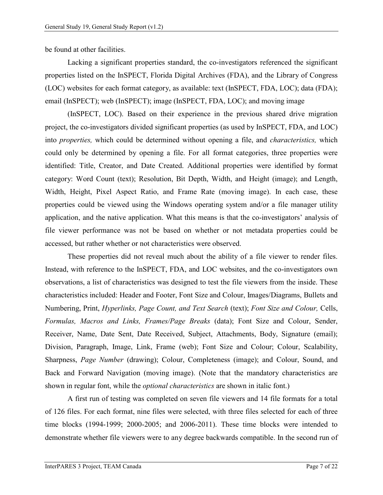be found at other facilities.

Lacking a significant properties standard, the co-investigators referenced the significant properties listed on the InSPECT, Florida Digital Archives (FDA), and the Library of Congress (LOC) websites for each format category, as available: text (InSPECT, FDA, LOC); data (FDA); email (InSPECT); web (InSPECT); image (InSPECT, FDA, LOC); and moving image

(InSPECT, LOC). Based on their experience in the previous shared drive migration project, the co-investigators divided significant properties (as used by InSPECT, FDA, and LOC) into *properties,* which could be determined without opening a file, and *characteristics,* which could only be determined by opening a file. For all format categories, three properties were identified: Title, Creator, and Date Created. Additional properties were identified by format category: Word Count (text); Resolution, Bit Depth, Width, and Height (image); and Length, Width, Height, Pixel Aspect Ratio, and Frame Rate (moving image). In each case, these properties could be viewed using the Windows operating system and/or a file manager utility application, and the native application. What this means is that the co-investigators' analysis of file viewer performance was not be based on whether or not metadata properties could be accessed, but rather whether or not characteristics were observed.

These properties did not reveal much about the ability of a file viewer to render files. Instead, with reference to the InSPECT, FDA, and LOC websites, and the co-investigators own observations, a list of characteristics was designed to test the file viewers from the inside. These characteristics included: Header and Footer, Font Size and Colour, Images/Diagrams, Bullets and Numbering, Print, *Hyperlinks, Page Count, and Text Search* (text); *Font Size and Colour,* Cells, *Formulas, Macros and Links, Frames/Page Breaks* (data); Font Size and Colour, Sender, Receiver, Name, Date Sent, Date Received, Subject, Attachments, Body, Signature (email); Division, Paragraph, Image, Link, Frame (web); Font Size and Colour; Colour, Scalability, Sharpness, *Page Number* (drawing); Colour, Completeness (image); and Colour, Sound, and Back and Forward Navigation (moving image). (Note that the mandatory characteristics are shown in regular font, while the *optional characteristics* are shown in italic font.)

A first run of testing was completed on seven file viewers and 14 file formats for a total of 126 files. For each format, nine files were selected, with three files selected for each of three time blocks (1994-1999; 2000-2005; and 2006-2011). These time blocks were intended to demonstrate whether file viewers were to any degree backwards compatible. In the second run of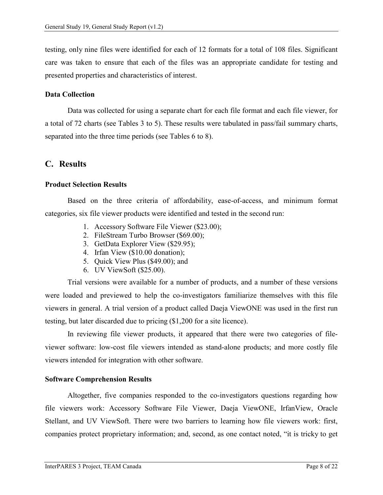testing, only nine files were identified for each of 12 formats for a total of 108 files. Significant care was taken to ensure that each of the files was an appropriate candidate for testing and presented properties and characteristics of interest.

#### <span id="page-10-0"></span>**Data Collection**

Data was collected for using a separate chart for each file format and each file viewer, for a total of 72 charts (see Tables 3 to 5). These results were tabulated in pass/fail summary charts, separated into the three time periods (see Tables 6 to 8).

## <span id="page-10-1"></span>**C. Results**

#### <span id="page-10-2"></span>**Product Selection Results**

Based on the three criteria of affordability, ease-of-access, and minimum format categories, six file viewer products were identified and tested in the second run:

- 1. Accessory Software File Viewer (\$23.00);
- 2. FileStream Turbo Browser (\$69.00);
- 3. GetData Explorer View (\$29.95);
- 4. Irfan View (\$10.00 donation);
- 5. Quick View Plus (\$49.00); and
- 6. UV ViewSoft (\$25.00).

Trial versions were available for a number of products, and a number of these versions were loaded and previewed to help the co-investigators familiarize themselves with this file viewers in general. A trial version of a product called Daeja ViewONE was used in the first run testing, but later discarded due to pricing (\$1,200 for a site licence).

In reviewing file viewer products, it appeared that there were two categories of fileviewer software: low-cost file viewers intended as stand-alone products; and more costly file viewers intended for integration with other software.

#### <span id="page-10-3"></span>**Software Comprehension Results**

Altogether, five companies responded to the co-investigators questions regarding how file viewers work: Accessory Software File Viewer, Daeja ViewONE, IrfanView, Oracle Stellant, and UV ViewSoft. There were two barriers to learning how file viewers work: first, companies protect proprietary information; and, second, as one contact noted, "it is tricky to get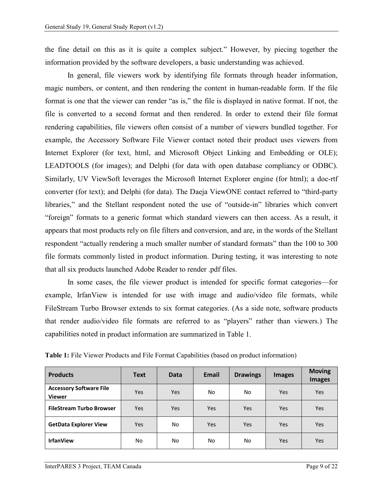the fine detail on this as it is quite a complex subject." However, by piecing together the information provided by the software developers, a basic understanding was achieved.

In general, file viewers work by identifying file formats through header information, magic numbers, or content, and then rendering the content in human-readable form. If the file format is one that the viewer can render "as is," the file is displayed in native format. If not, the file is converted to a second format and then rendered. In order to extend their file format rendering capabilities, file viewers often consist of a number of viewers bundled together. For example, the Accessory Software File Viewer contact noted their product uses viewers from Internet Explorer (for text, html, and Microsoft Object Linking and Embedding or OLE); LEADTOOLS (for images); and Delphi (for data with open database compliancy or ODBC). Similarly, UV ViewSoft leverages the Microsoft Internet Explorer engine (for html); a doc-rtf converter (for text); and Delphi (for data). The Daeja ViewONE contact referred to "third-party libraries," and the Stellant respondent noted the use of "outside-in" libraries which convert "foreign" formats to a generic format which standard viewers can then access. As a result, it appears that most products rely on file filters and conversion, and are, in the words of the Stellant respondent "actually rendering a much smaller number of standard formats" than the 100 to 300 file formats commonly listed in product information. During testing, it was interesting to note that all six products launched Adobe Reader to render .pdf files.

In some cases, the file viewer product is intended for specific format categories—for example, IrfanView is intended for use with image and audio/video file formats, while FileStream Turbo Browser extends to six format categories. (As a side note, software products that render audio/video file formats are referred to as "players" rather than viewers.) The capabilities noted in product information are summarized in Table 1.

| <b>Products</b>                                 | <b>Text</b> | <b>Data</b> | Email | <b>Drawings</b> | <b>Images</b> | <b>Moving</b><br><b>Images</b> |
|-------------------------------------------------|-------------|-------------|-------|-----------------|---------------|--------------------------------|
| <b>Accessory Software File</b><br><b>Viewer</b> | <b>Yes</b>  | <b>Yes</b>  | No.   | No              | Yes           | Yes                            |
| <b>FileStream Turbo Browser</b>                 | <b>Yes</b>  | <b>Yes</b>  | Yes   | Yes             | Yes           | <b>Yes</b>                     |
| <b>GetData Explorer View</b>                    | <b>Yes</b>  | No          | Yes   | Yes             | <b>Yes</b>    | <b>Yes</b>                     |
| <b>IrfanView</b>                                | No          | No.         | No    | No              | Yes           | <b>Yes</b>                     |

**Table 1:** File Viewer Products and File Format Capabilities (based on product information)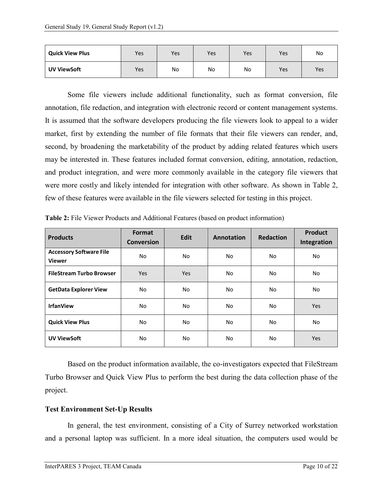| <b>Quick View Plus</b> | Yes | Yes | Yes | Yes | Yes        | No  |
|------------------------|-----|-----|-----|-----|------------|-----|
| <b>UV ViewSoft</b>     | Yes | No  | No  | No  | <b>Yes</b> | Yes |

Some file viewers include additional functionality, such as format conversion, file annotation, file redaction, and integration with electronic record or content management systems. It is assumed that the software developers producing the file viewers look to appeal to a wider market, first by extending the number of file formats that their file viewers can render, and, second, by broadening the marketability of the product by adding related features which users may be interested in. These features included format conversion, editing, annotation, redaction, and product integration, and were more commonly available in the category file viewers that were more costly and likely intended for integration with other software. As shown in Table 2, few of these features were available in the file viewers selected for testing in this project.

| <b>Products</b>                                 | Format<br><b>Conversion</b> | Edit       | Annotation | <b>Redaction</b> | Product<br>Integration |
|-------------------------------------------------|-----------------------------|------------|------------|------------------|------------------------|
| <b>Accessory Software File</b><br><b>Viewer</b> | No.                         | No.<br>No. |            | No               | No                     |
| <b>FileStream Turbo Browser</b>                 | Yes                         | Yes        |            | No               | No                     |
| <b>GetData Explorer View</b>                    | No.                         | No.        | No         | No               | No                     |
| <b>IrfanView</b>                                | No.                         | No.        | No.        | No               | <b>Yes</b>             |
| <b>Quick View Plus</b>                          | No.                         | No.        | No.        | No               | No                     |
| <b>UV ViewSoft</b>                              | No.                         | No.        | No.        | No               | Yes                    |

**Table 2:** File Viewer Products and Additional Features (based on product information)

Based on the product information available, the co-investigators expected that FileStream Turbo Browser and Quick View Plus to perform the best during the data collection phase of the project.

### <span id="page-12-0"></span>**Test Environment Set-Up Results**

In general, the test environment, consisting of a City of Surrey networked workstation and a personal laptop was sufficient. In a more ideal situation, the computers used would be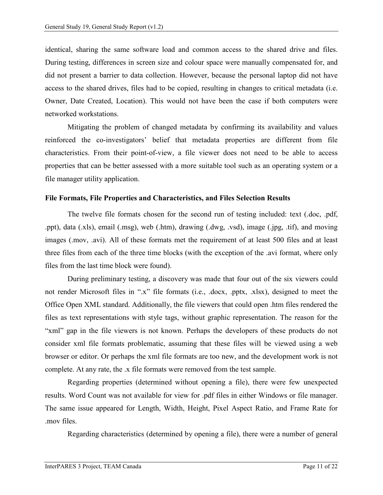identical, sharing the same software load and common access to the shared drive and files. During testing, differences in screen size and colour space were manually compensated for, and did not present a barrier to data collection. However, because the personal laptop did not have access to the shared drives, files had to be copied, resulting in changes to critical metadata (i.e. Owner, Date Created, Location). This would not have been the case if both computers were networked workstations.

Mitigating the problem of changed metadata by confirming its availability and values reinforced the co-investigators' belief that metadata properties are different from file characteristics. From their point-of-view, a file viewer does not need to be able to access properties that can be better assessed with a more suitable tool such as an operating system or a file manager utility application.

#### <span id="page-13-0"></span>**File Formats, File Properties and Characteristics, and Files Selection Results**

The twelve file formats chosen for the second run of testing included: text (.doc, .pdf, .ppt), data (.xls), email (.msg), web (.htm), drawing (.dwg, .vsd), image (.jpg, .tif), and moving images (.mov, .avi). All of these formats met the requirement of at least 500 files and at least three files from each of the three time blocks (with the exception of the .avi format, where only files from the last time block were found).

During preliminary testing, a discovery was made that four out of the six viewers could not render Microsoft files in ".x" file formats (i.e., .docx, .pptx, .xlsx), designed to meet the Office Open XML standard. Additionally, the file viewers that could open .htm files rendered the files as text representations with style tags, without graphic representation. The reason for the "xml" gap in the file viewers is not known. Perhaps the developers of these products do not consider xml file formats problematic, assuming that these files will be viewed using a web browser or editor. Or perhaps the xml file formats are too new, and the development work is not complete. At any rate, the .x file formats were removed from the test sample.

Regarding properties (determined without opening a file), there were few unexpected results. Word Count was not available for view for .pdf files in either Windows or file manager. The same issue appeared for Length, Width, Height, Pixel Aspect Ratio, and Frame Rate for .mov files.

Regarding characteristics (determined by opening a file), there were a number of general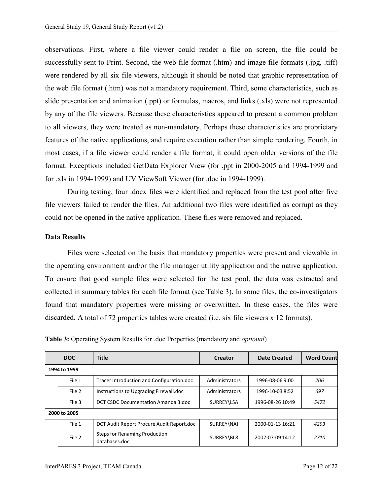observations. First, where a file viewer could render a file on screen, the file could be successfully sent to Print. Second, the web file format (.htm) and image file formats (.jpg, .tiff) were rendered by all six file viewers, although it should be noted that graphic representation of the web file format (.htm) was not a mandatory requirement. Third, some characteristics, such as slide presentation and animation (.ppt) or formulas, macros, and links (.xls) were not represented by any of the file viewers. Because these characteristics appeared to present a common problem to all viewers, they were treated as non-mandatory. Perhaps these characteristics are proprietary features of the native applications, and require execution rather than simple rendering. Fourth, in most cases, if a file viewer could render a file format, it could open older versions of the file format. Exceptions included GetData Explorer View (for .ppt in 2000-2005 and 1994-1999 and for .xls in 1994-1999) and UV ViewSoft Viewer (for .doc in 1994-1999).

During testing, four .docx files were identified and replaced from the test pool after five file viewers failed to render the files. An additional two files were identified as corrupt as they could not be opened in the native application. These files were removed and replaced.

#### <span id="page-14-0"></span>**Data Results**

Files were selected on the basis that mandatory properties were present and viewable in the operating environment and/or the file manager utility application and the native application. To ensure that good sample files were selected for the test pool, the data was extracted and collected in summary tables for each file format (see Table 3). In some files, the co-investigators found that mandatory properties were missing or overwritten. In these cases, the files were discarded. A total of 72 properties tables were created (i.e. six file viewers x 12 formats).

| <b>DOC</b>   | <b>Title</b>                                   | <b>Creator</b> | <b>Date Created</b> | <b>Word Countl</b> |
|--------------|------------------------------------------------|----------------|---------------------|--------------------|
| 1994 to 1999 |                                                |                |                     |                    |
| File 1       | Tracer Introduction and Configuration.doc      | Administrators | 1996-08-06 9:00     | 206                |
| File 2       | Instructions to Upgrading Firewall.doc         | Administrators | 1996-10-03 8:52     | 697                |
| File 3       | DCT CSDC Documentation Amanda 3.doc            | SURREY\LSA     | 1996-08-26 10:49    | 5472               |
| 2000 to 2005 |                                                |                |                     |                    |
| File 1       | DCT Audit Report Procure Audit Report.doc      | SURREY\NAJ     | 2000-01-13 16:21    | 4293               |
| File 2       | Steps for Renaming Production<br>databases.doc | SURREY\BL8     | 2002-07-09 14:12    | 2710               |

**Table 3:** Operating System Results for .doc Properties (mandatory and *optional*)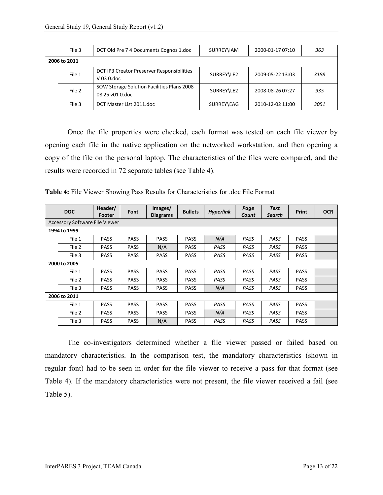| File 3       | DCT Old Pre 7 4 Documents Cognos 1.doc                        | SURREY\IAM | 2000-01-17 07:10 | 363  |
|--------------|---------------------------------------------------------------|------------|------------------|------|
| 2006 to 2011 |                                                               |            |                  |      |
| File 1       | DCT IP3 Creator Preserver Responsibilities<br>$V$ 03 0.doc    | SURREY\LE2 | 2009-05-22 13:03 | 3188 |
| File 2       | SOW Storage Solution Facilities Plans 2008<br>08 25 v01 0.doc | SURREY\LE2 | 2008-08-26 07:27 | 935  |
| File 3       | DCT Master List 2011.doc                                      | SURREY\EAG | 2010-12-02 11:00 | 3051 |

Once the file properties were checked, each format was tested on each file viewer by opening each file in the native application on the networked workstation, and then opening a copy of the file on the personal laptop. The characteristics of the files were compared, and the results were recorded in 72 separate tables (see Table 4).

**Table 4:** File Viewer Showing Pass Results for Characteristics for .doc File Format

|              | <b>DOC</b>                            | Header/<br>Footer | Font        | Images/<br><b>Diagrams</b> | <b>Bullets</b> | <b>Hyperlink</b> | Page<br>Count | <b>Text</b><br><b>Search</b> | <b>Print</b> | <b>OCR</b> |
|--------------|---------------------------------------|-------------------|-------------|----------------------------|----------------|------------------|---------------|------------------------------|--------------|------------|
|              | <b>Accessory Software File Viewer</b> |                   |             |                            |                |                  |               |                              |              |            |
|              | 1994 to 1999                          |                   |             |                            |                |                  |               |                              |              |            |
|              | File 1                                | <b>PASS</b>       | <b>PASS</b> | <b>PASS</b>                | <b>PASS</b>    | N/A              | PASS          | PASS                         | <b>PASS</b>  |            |
|              | File 2                                | <b>PASS</b>       | <b>PASS</b> | N/A                        | <b>PASS</b>    | PASS             | PASS          | PASS                         | <b>PASS</b>  |            |
|              | File 3                                | <b>PASS</b>       | <b>PASS</b> | <b>PASS</b>                | <b>PASS</b>    | PASS             | PASS          | PASS                         | <b>PASS</b>  |            |
| 2000 to 2005 |                                       |                   |             |                            |                |                  |               |                              |              |            |
|              | File 1                                | <b>PASS</b>       | <b>PASS</b> | <b>PASS</b>                | <b>PASS</b>    | PASS             | PASS          | PASS                         | <b>PASS</b>  |            |
|              | File 2                                | <b>PASS</b>       | <b>PASS</b> | <b>PASS</b>                | <b>PASS</b>    | PASS             | PASS          | PASS                         | <b>PASS</b>  |            |
|              | File 3                                | <b>PASS</b>       | <b>PASS</b> | <b>PASS</b>                | <b>PASS</b>    | N/A              | PASS          | PASS                         | <b>PASS</b>  |            |
|              | 2006 to 2011                          |                   |             |                            |                |                  |               |                              |              |            |
|              | File 1                                | <b>PASS</b>       | <b>PASS</b> | <b>PASS</b>                | <b>PASS</b>    | PASS             | PASS          | PASS                         | <b>PASS</b>  |            |
|              | File 2                                | <b>PASS</b>       | <b>PASS</b> | <b>PASS</b>                | <b>PASS</b>    | N/A              | PASS          | PASS                         | <b>PASS</b>  |            |
|              | File 3                                | <b>PASS</b>       | <b>PASS</b> | N/A                        | <b>PASS</b>    | PASS             | PASS          | PASS                         | <b>PASS</b>  |            |

The co-investigators determined whether a file viewer passed or failed based on mandatory characteristics. In the comparison test, the mandatory characteristics (shown in regular font) had to be seen in order for the file viewer to receive a pass for that format (see Table 4). If the mandatory characteristics were not present, the file viewer received a fail (see Table 5).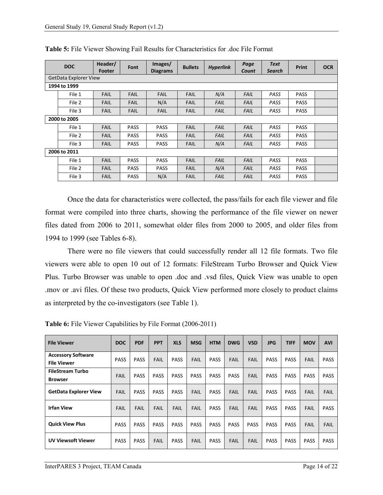|              | <b>DOC</b>                   | Header/<br><b>Footer</b> | Font        | Images/<br><b>Diagrams</b> | <b>Bullets</b> | <b>Hyperlink</b> | Page<br>Count | <b>Text</b><br>Search | <b>Print</b> | <b>OCR</b> |
|--------------|------------------------------|--------------------------|-------------|----------------------------|----------------|------------------|---------------|-----------------------|--------------|------------|
|              | <b>GetData Explorer View</b> |                          |             |                            |                |                  |               |                       |              |            |
|              | 1994 to 1999                 |                          |             |                            |                |                  |               |                       |              |            |
|              | File 1                       | <b>FAIL</b>              | <b>FAIL</b> | <b>FAIL</b>                | <b>FAIL</b>    | N/A              | <b>FAIL</b>   | PASS                  | <b>PASS</b>  |            |
|              | File 2                       | <b>FAIL</b>              | <b>FAIL</b> | N/A                        | <b>FAIL</b>    | FAIL             | <b>FAIL</b>   | PASS                  | <b>PASS</b>  |            |
|              | File 3                       | <b>FAIL</b>              | <b>FAIL</b> | <b>FAIL</b>                | <b>FAIL</b>    | <b>FAIL</b>      | <b>FAIL</b>   | PASS                  | <b>PASS</b>  |            |
| 2000 to 2005 |                              |                          |             |                            |                |                  |               |                       |              |            |
|              | File 1                       | <b>FAIL</b>              | <b>PASS</b> | <b>PASS</b>                | <b>FAIL</b>    | <b>FAIL</b>      | <b>FAIL</b>   | PASS                  | <b>PASS</b>  |            |
|              | File 2                       | <b>FAIL</b>              | <b>PASS</b> | <b>PASS</b>                | <b>FAIL</b>    | <b>FAIL</b>      | <b>FAIL</b>   | PASS                  | <b>PASS</b>  |            |
|              | File 3                       | <b>FAIL</b>              | <b>PASS</b> | <b>PASS</b>                | <b>FAIL</b>    | N/A              | <b>FAIL</b>   | PASS                  | <b>PASS</b>  |            |
|              | 2006 to 2011                 |                          |             |                            |                |                  |               |                       |              |            |
|              | File 1                       | <b>FAIL</b>              | <b>PASS</b> | <b>PASS</b>                | <b>FAIL</b>    | <b>FAIL</b>      | <b>FAIL</b>   | PASS                  | <b>PASS</b>  |            |
|              | File 2                       | <b>FAIL</b>              | <b>PASS</b> | <b>PASS</b>                | <b>FAIL</b>    | N/A              | <b>FAIL</b>   | PASS                  | <b>PASS</b>  |            |
|              | File 3                       | <b>FAIL</b>              | <b>PASS</b> | N/A                        | <b>FAIL</b>    | <b>FAIL</b>      | <b>FAIL</b>   | PASS                  | <b>PASS</b>  |            |

**Table 5:** File Viewer Showing Fail Results for Characteristics for .doc File Format

Once the data for characteristics were collected, the pass/fails for each file viewer and file format were compiled into three charts, showing the performance of the file viewer on newer files dated from 2006 to 2011, somewhat older files from 2000 to 2005, and older files from 1994 to 1999 (see Tables 6-8).

There were no file viewers that could successfully render all 12 file formats. Two file viewers were able to open 10 out of 12 formats: FileStream Turbo Browser and Quick View Plus. Turbo Browser was unable to open .doc and .vsd files, Quick View was unable to open .mov or .avi files. Of these two products, Quick View performed more closely to product claims as interpreted by the co-investigators (see Table 1).

| <b>File Viewer</b>                              | <b>DOC</b>  | <b>PDF</b>  | <b>PPT</b>  | <b>XLS</b>  | <b>MSG</b>  | <b>HTM</b>  | <b>DWG</b>  | <b>VSD</b>  | <b>JPG</b>  | <b>TIFF</b> | <b>MOV</b>  | <b>AVI</b>  |
|-------------------------------------------------|-------------|-------------|-------------|-------------|-------------|-------------|-------------|-------------|-------------|-------------|-------------|-------------|
| <b>Accessory Software</b><br><b>File Viewer</b> | <b>PASS</b> | <b>PASS</b> | FAIL        | <b>PASS</b> | <b>FAIL</b> | <b>PASS</b> | <b>FAIL</b> | FAIL        | <b>PASS</b> | <b>PASS</b> | <b>FAIL</b> | <b>PASS</b> |
| <b>FileStream Turbo</b><br><b>Browser</b>       | <b>FAIL</b> | <b>PASS</b> | <b>PASS</b> | <b>PASS</b> | <b>PASS</b> | <b>PASS</b> | <b>PASS</b> | <b>FAIL</b> | <b>PASS</b> | <b>PASS</b> | <b>PASS</b> | <b>PASS</b> |
| <b>GetData Explorer View</b>                    | <b>FAIL</b> | <b>PASS</b> | <b>PASS</b> | <b>PASS</b> | <b>FAIL</b> | <b>PASS</b> | <b>FAIL</b> | FAIL        | <b>PASS</b> | <b>PASS</b> | FAIL        | <b>FAIL</b> |
| <b>Irfan View</b>                               | <b>FAIL</b> | <b>FAIL</b> | FAIL        | FAIL        | <b>FAIL</b> | <b>PASS</b> | <b>FAIL</b> | FAIL        | <b>PASS</b> | <b>PASS</b> | <b>FAIL</b> | <b>PASS</b> |
| <b>Quick View Plus</b>                          | <b>PASS</b> | <b>PASS</b> | <b>PASS</b> | <b>PASS</b> | <b>PASS</b> | <b>PASS</b> | <b>PASS</b> | <b>PASS</b> | <b>PASS</b> | <b>PASS</b> | <b>FAIL</b> | <b>FAIL</b> |
| <b>UV Viewsoft Viewer</b>                       | <b>PASS</b> | <b>PASS</b> | <b>FAIL</b> | <b>PASS</b> | <b>FAIL</b> | <b>PASS</b> | <b>FAIL</b> | <b>FAIL</b> | <b>PASS</b> | <b>PASS</b> | <b>PASS</b> | <b>PASS</b> |

**Table 6:** File Viewer Capabilities by File Format (2006-2011)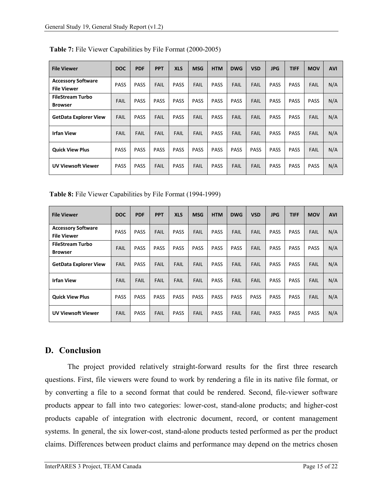| <b>File Viewer</b>                              | <b>DOC</b>  | <b>PDF</b>  | <b>PPT</b>  | <b>XLS</b>  | <b>MSG</b>  | <b>HTM</b>  | <b>DWG</b>  | <b>VSD</b>  | <b>JPG</b>  | <b>TIFF</b> | <b>MOV</b>  | <b>AVI</b> |
|-------------------------------------------------|-------------|-------------|-------------|-------------|-------------|-------------|-------------|-------------|-------------|-------------|-------------|------------|
| <b>Accessory Software</b><br><b>File Viewer</b> | <b>PASS</b> | <b>PASS</b> | <b>FAIL</b> | <b>PASS</b> | <b>FAIL</b> | <b>PASS</b> | <b>FAIL</b> | <b>FAIL</b> | <b>PASS</b> | <b>PASS</b> | <b>FAIL</b> | N/A        |
| <b>FileStream Turbo</b><br><b>Browser</b>       | <b>FAIL</b> | <b>PASS</b> | <b>PASS</b> | <b>PASS</b> | <b>PASS</b> | <b>PASS</b> | <b>PASS</b> | <b>FAIL</b> | <b>PASS</b> | <b>PASS</b> | <b>PASS</b> | N/A        |
| <b>GetData Explorer View</b>                    | <b>FAIL</b> | <b>PASS</b> | <b>FAIL</b> | <b>PASS</b> | <b>FAIL</b> | <b>PASS</b> | FAIL        | <b>FAIL</b> | <b>PASS</b> | <b>PASS</b> | <b>FAIL</b> | N/A        |
| <b>Irfan View</b>                               | <b>FAIL</b> | <b>FAIL</b> | <b>FAIL</b> | <b>FAIL</b> | <b>FAIL</b> | <b>PASS</b> | <b>FAIL</b> | <b>FAIL</b> | <b>PASS</b> | <b>PASS</b> | <b>FAIL</b> | N/A        |
| <b>Quick View Plus</b>                          | <b>PASS</b> | <b>PASS</b> | <b>PASS</b> | <b>PASS</b> | <b>PASS</b> | <b>PASS</b> | <b>PASS</b> | <b>PASS</b> | <b>PASS</b> | <b>PASS</b> | <b>FAIL</b> | N/A        |
| <b>UV Viewsoft Viewer</b>                       | <b>PASS</b> | <b>PASS</b> | <b>FAIL</b> | <b>PASS</b> | <b>FAIL</b> | <b>PASS</b> | <b>FAIL</b> | <b>FAIL</b> | <b>PASS</b> | <b>PASS</b> | <b>PASS</b> | N/A        |

**Table 7:** File Viewer Capabilities by File Format (2000-2005)

**Table 8:** File Viewer Capabilities by File Format (1994-1999)

| <b>File Viewer</b>                              | <b>DOC</b>  | <b>PDF</b>  | <b>PPT</b>  | <b>XLS</b>  | <b>MSG</b>  | <b>HTM</b>  | <b>DWG</b>  | <b>VSD</b>  | <b>JPG</b>  | <b>TIFF</b> | <b>MOV</b>  | <b>AVI</b> |
|-------------------------------------------------|-------------|-------------|-------------|-------------|-------------|-------------|-------------|-------------|-------------|-------------|-------------|------------|
| <b>Accessory Software</b><br><b>File Viewer</b> | <b>PASS</b> | <b>PASS</b> | <b>FAIL</b> | <b>PASS</b> | <b>FAIL</b> | <b>PASS</b> | <b>FAIL</b> | <b>FAIL</b> | <b>PASS</b> | <b>PASS</b> | <b>FAIL</b> | N/A        |
| <b>FileStream Turbo</b><br><b>Browser</b>       | <b>FAIL</b> | <b>PASS</b> | <b>PASS</b> | <b>PASS</b> | <b>PASS</b> | <b>PASS</b> | <b>PASS</b> | FAIL        | <b>PASS</b> | <b>PASS</b> | <b>PASS</b> | N/A        |
| <b>GetData Explorer View</b>                    | <b>FAIL</b> | <b>PASS</b> | <b>FAIL</b> | <b>FAIL</b> | <b>FAIL</b> | <b>PASS</b> | <b>FAIL</b> | <b>FAIL</b> | <b>PASS</b> | <b>PASS</b> | <b>FAIL</b> | N/A        |
| <b>Irfan View</b>                               | <b>FAIL</b> | <b>FAIL</b> | <b>FAIL</b> | <b>FAIL</b> | <b>FAIL</b> | <b>PASS</b> | <b>FAIL</b> | <b>FAIL</b> | <b>PASS</b> | <b>PASS</b> | <b>FAIL</b> | N/A        |
| <b>Quick View Plus</b>                          | <b>PASS</b> | <b>PASS</b> | <b>PASS</b> | <b>PASS</b> | <b>PASS</b> | <b>PASS</b> | <b>PASS</b> | <b>PASS</b> | <b>PASS</b> | <b>PASS</b> | <b>FAIL</b> | N/A        |
| <b>UV Viewsoft Viewer</b>                       | <b>FAIL</b> | <b>PASS</b> | <b>FAIL</b> | <b>PASS</b> | <b>FAIL</b> | <b>PASS</b> | <b>FAIL</b> | <b>FAIL</b> | <b>PASS</b> | <b>PASS</b> | <b>PASS</b> | N/A        |

# <span id="page-17-0"></span>**D. Conclusion**

The project provided relatively straight-forward results for the first three research questions. First, file viewers were found to work by rendering a file in its native file format, or by converting a file to a second format that could be rendered. Second, file-viewer software products appear to fall into two categories: lower-cost, stand-alone products; and higher-cost products capable of integration with electronic document, record, or content management systems. In general, the six lower-cost, stand-alone products tested performed as per the product claims. Differences between product claims and performance may depend on the metrics chosen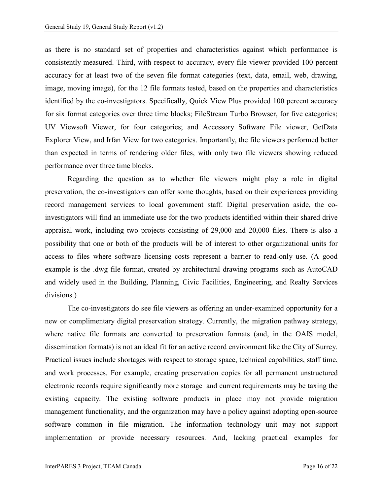as there is no standard set of properties and characteristics against which performance is consistently measured. Third, with respect to accuracy, every file viewer provided 100 percent accuracy for at least two of the seven file format categories (text, data, email, web, drawing, image, moving image), for the 12 file formats tested, based on the properties and characteristics identified by the co-investigators. Specifically, Quick View Plus provided 100 percent accuracy for six format categories over three time blocks; FileStream Turbo Browser, for five categories; UV Viewsoft Viewer, for four categories; and Accessory Software File viewer, GetData Explorer View, and Irfan View for two categories. Importantly, the file viewers performed better than expected in terms of rendering older files, with only two file viewers showing reduced performance over three time blocks.

Regarding the question as to whether file viewers might play a role in digital preservation, the co-investigators can offer some thoughts, based on their experiences providing record management services to local government staff. Digital preservation aside, the coinvestigators will find an immediate use for the two products identified within their shared drive appraisal work, including two projects consisting of 29,000 and 20,000 files. There is also a possibility that one or both of the products will be of interest to other organizational units for access to files where software licensing costs represent a barrier to read-only use. (A good example is the .dwg file format, created by architectural drawing programs such as AutoCAD and widely used in the Building, Planning, Civic Facilities, Engineering, and Realty Services divisions.)

The co-investigators do see file viewers as offering an under-examined opportunity for a new or complimentary digital preservation strategy. Currently, the migration pathway strategy, where native file formats are converted to preservation formats (and, in the OAIS model, dissemination formats) is not an ideal fit for an active record environment like the City of Surrey. Practical issues include shortages with respect to storage space, technical capabilities, staff time, and work processes. For example, creating preservation copies for all permanent unstructured electronic records require significantly more storage and current requirements may be taxing the existing capacity. The existing software products in place may not provide migration management functionality, and the organization may have a policy against adopting open-source software common in file migration. The information technology unit may not support implementation or provide necessary resources. And, lacking practical examples for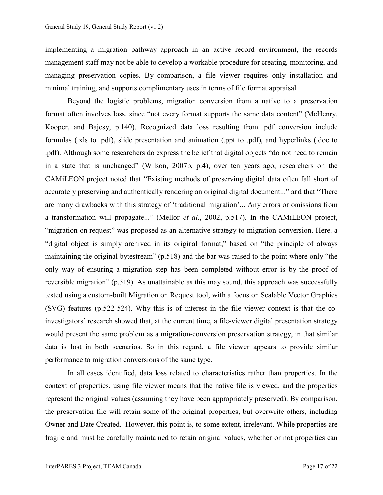implementing a migration pathway approach in an active record environment, the records management staff may not be able to develop a workable procedure for creating, monitoring, and managing preservation copies. By comparison, a file viewer requires only installation and minimal training, and supports complimentary uses in terms of file format appraisal.

Beyond the logistic problems, migration conversion from a native to a preservation format often involves loss, since "not every format supports the same data content" (McHenry, Kooper, and Bajcsy, p.140). Recognized data loss resulting from .pdf conversion include formulas (.xls to .pdf), slide presentation and animation (.ppt to .pdf), and hyperlinks (.doc to .pdf). Although some researchers do express the belief that digital objects "do not need to remain in a state that is unchanged" (Wilson, 2007b, p.4), over ten years ago, researchers on the CAMiLEON project noted that "Existing methods of preserving digital data often fall short of accurately preserving and authentically rendering an original digital document..." and that "There are many drawbacks with this strategy of 'traditional migration'... Any errors or omissions from a transformation will propagate..." (Mellor *et al.*, 2002, p.517). In the CAMiLEON project, "migration on request" was proposed as an alternative strategy to migration conversion. Here, a "digital object is simply archived in its original format," based on "the principle of always maintaining the original bytestream" (p.518) and the bar was raised to the point where only "the only way of ensuring a migration step has been completed without error is by the proof of reversible migration" (p.519). As unattainable as this may sound, this approach was successfully tested using a custom-built Migration on Request tool, with a focus on Scalable Vector Graphics (SVG) features (p.522-524). Why this is of interest in the file viewer context is that the coinvestigators' research showed that, at the current time, a file-viewer digital presentation strategy would present the same problem as a migration-conversion preservation strategy, in that similar data is lost in both scenarios. So in this regard, a file viewer appears to provide similar performance to migration conversions of the same type.

In all cases identified, data loss related to characteristics rather than properties. In the context of properties, using file viewer means that the native file is viewed, and the properties represent the original values (assuming they have been appropriately preserved). By comparison, the preservation file will retain some of the original properties, but overwrite others, including Owner and Date Created. However, this point is, to some extent, irrelevant. While properties are fragile and must be carefully maintained to retain original values, whether or not properties can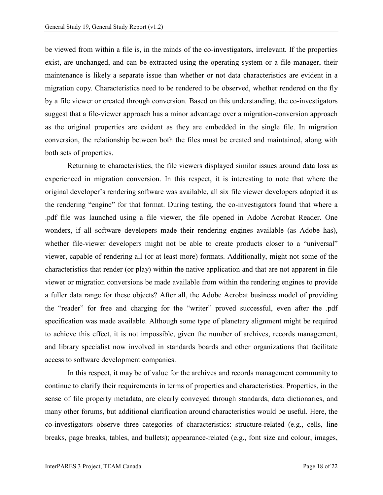be viewed from within a file is, in the minds of the co-investigators, irrelevant. If the properties exist, are unchanged, and can be extracted using the operating system or a file manager, their maintenance is likely a separate issue than whether or not data characteristics are evident in a migration copy. Characteristics need to be rendered to be observed, whether rendered on the fly by a file viewer or created through conversion. Based on this understanding, the co-investigators suggest that a file-viewer approach has a minor advantage over a migration-conversion approach as the original properties are evident as they are embedded in the single file. In migration conversion, the relationship between both the files must be created and maintained, along with both sets of properties.

Returning to characteristics, the file viewers displayed similar issues around data loss as experienced in migration conversion. In this respect, it is interesting to note that where the original developer's rendering software was available, all six file viewer developers adopted it as the rendering "engine" for that format. During testing, the co-investigators found that where a .pdf file was launched using a file viewer, the file opened in Adobe Acrobat Reader. One wonders, if all software developers made their rendering engines available (as Adobe has), whether file-viewer developers might not be able to create products closer to a "universal" viewer, capable of rendering all (or at least more) formats. Additionally, might not some of the characteristics that render (or play) within the native application and that are not apparent in file viewer or migration conversions be made available from within the rendering engines to provide a fuller data range for these objects? After all, the Adobe Acrobat business model of providing the "reader" for free and charging for the "writer" proved successful, even after the .pdf specification was made available. Although some type of planetary alignment might be required to achieve this effect, it is not impossible, given the number of archives, records management, and library specialist now involved in standards boards and other organizations that facilitate access to software development companies.

In this respect, it may be of value for the archives and records management community to continue to clarify their requirements in terms of properties and characteristics. Properties, in the sense of file property metadata, are clearly conveyed through standards, data dictionaries, and many other forums, but additional clarification around characteristics would be useful. Here, the co-investigators observe three categories of characteristics: structure-related (e.g., cells, line breaks, page breaks, tables, and bullets); appearance-related (e.g., font size and colour, images,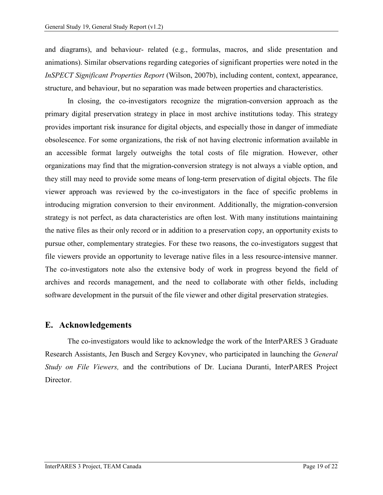and diagrams), and behaviour- related (e.g., formulas, macros, and slide presentation and animations). Similar observations regarding categories of significant properties were noted in the *InSPECT Significant Properties Report* (Wilson, 2007b), including content, context, appearance, structure, and behaviour, but no separation was made between properties and characteristics.

In closing, the co-investigators recognize the migration-conversion approach as the primary digital preservation strategy in place in most archive institutions today. This strategy provides important risk insurance for digital objects, and especially those in danger of immediate obsolescence. For some organizations, the risk of not having electronic information available in an accessible format largely outweighs the total costs of file migration. However, other organizations may find that the migration-conversion strategy is not always a viable option, and they still may need to provide some means of long-term preservation of digital objects. The file viewer approach was reviewed by the co-investigators in the face of specific problems in introducing migration conversion to their environment. Additionally, the migration-conversion strategy is not perfect, as data characteristics are often lost. With many institutions maintaining the native files as their only record or in addition to a preservation copy, an opportunity exists to pursue other, complementary strategies. For these two reasons, the co-investigators suggest that file viewers provide an opportunity to leverage native files in a less resource-intensive manner. The co-investigators note also the extensive body of work in progress beyond the field of archives and records management, and the need to collaborate with other fields, including software development in the pursuit of the file viewer and other digital preservation strategies.

## <span id="page-21-0"></span>**E. Acknowledgements**

The co-investigators would like to acknowledge the work of the InterPARES 3 Graduate Research Assistants, Jen Busch and Sergey Kovynev, who participated in launching the *General Study on File Viewers,* and the contributions of Dr. Luciana Duranti, InterPARES Project Director.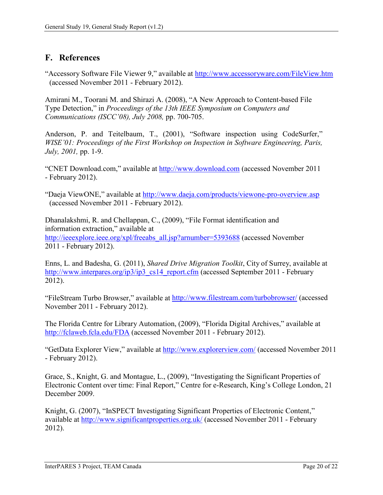# <span id="page-22-0"></span>**F. References**

"Accessory Software File Viewer 9," available at<http://www.accessoryware.com/FileView.htm> (accessed November 2011 - February 2012).

Amirani M., Toorani M. and Shirazi A. (2008), "A New Approach to Content-based File Type Detection," in *Proceedings of the 13th IEEE Symposium on Computers and Communications (ISCC'08), July 2008,* pp. 700-705.

Anderson, P. and Teitelbaum, T., (2001), "Software inspection using CodeSurfer," *WISE'01: Proceedings of the First Workshop on Inspection in Software Engineering, Paris, July, 2001,* pp. 1-9.

"CNET Download.com," available at [http://www.download.com](http://www.download.com/) (accessed November 2011 - February 2012).

"Daeja ViewONE," available at<http://www.daeja.com/products/viewone-pro-overview.asp> (accessed November 2011 - February 2012).

Dhanalakshmi, R. and Chellappan, C., (2009), "File Format identification and information extraction," available at [http://ieeexplore.ieee.org/xpl/freeabs\\_all.jsp?arnumber=5393688](http://ieeexplore.ieee.org/xpl/freeabs_all.jsp?arnumber=5393688) (accessed November 2011 - February 2012).

Enns, L. and Badesha, G. (2011), *Shared Drive Migration Toolkit*, City of Surrey, available at [http://www.interpares.org/ip3/ip3\\_cs14\\_report.cfm](http://www.interpares.org/ip3/ip3_cs14_report.cfm) (accessed September 2011 - February 2012).

"FileStream Turbo Browser," available at<http://www.filestream.com/turbobrowser/> (accessed November 2011 - February 2012).

The Florida Centre for Library Automation, (2009), "Florida Digital Archives," available at <http://fclaweb.fcla.edu/FDA> (accessed November 2011 - February 2012).

"GetData Explorer View," available at<http://www.explorerview.com/> (accessed November 2011 - February 2012).

Grace, S., Knight, G. and Montague, L., (2009), "Investigating the Significant Properties of Electronic Content over time: Final Report," Centre for e-Research, King's College London, 21 December 2009.

Knight, G. (2007), "InSPECT Investigating Significant Properties of Electronic Content," available at<http://www.significantproperties.org.uk/> (accessed November 2011 - February 2012).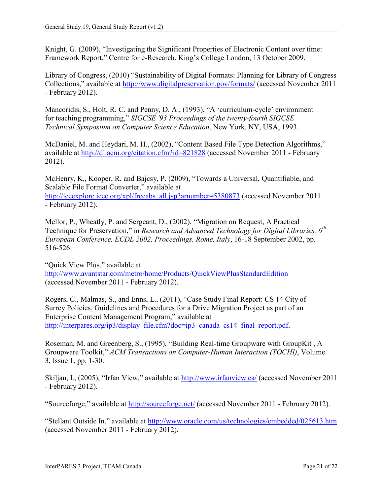Knight, G. (2009), "Investigating the Significant Properties of Electronic Content over time: Framework Report," Centre for e-Research, King's College London, 13 October 2009.

Library of Congress, (2010) "Sustainability of Digital Formats: Planning for Library of Congress Collections," available at<http://www.digitalpreservation.gov/formats/> (accessed November 2011 - February 2012).

Mancoridis, S., Holt, R. C. and Penny, D. A., (1993), "A 'curriculum-cycle' environment for teaching programming," *SIGCSE '93 Proceedings of the twenty-fourth SIGCSE Technical Symposium on Computer Science Education*, New York, NY, USA, 1993.

McDaniel, M. and Heydari, M. H., (2002), "Content Based File Type Detection Algorithms," available at<http://dl.acm.org/citation.cfm?id=821828> (accessed November 2011 - February 2012).

McHenry, K., Kooper, R. and Bajcsy, P. (2009), "Towards a Universal, Quantifiable, and Scalable File Format Converter," available at [http://ieeexplore.ieee.org/xpl/freeabs\\_all.jsp?arnumber=5380873](http://ieeexplore.ieee.org/xpl/freeabs_all.jsp?arnumber=5380873) (accessed November 2011 - February 2012).

Mellor, P., Wheatly, P. and Sergeant, D., (2002), "Migration on Request, A Practical Technique for Preservation," in *Research and Advanced Technology for Digital Libraries, 6th European Conference, ECDL 2002, Proceedings, Rome, Italy*, 16-18 September 2002, pp. 516-526.

"Quick View Plus," available at <http://www.avantstar.com/metro/home/Products/QuickViewPlusStandardEdition> (accessed November 2011 - February 2012).

Rogers, C., Malmas, S., and Enns, L., (2011), "Case Study Final Report: CS 14 City of Surrey Policies, Guidelines and Procedures for a Drive Migration Project as part of an Enterprise Content Management Program," available at [http://interpares.org/ip3/display\\_file.cfm?doc=ip3\\_canada\\_cs14\\_final\\_report.pdf.](http://interpares.org/ip3/display_file.cfm?doc=ip3_canada_cs14_final_report.pdf)

Roseman, M. and Greenberg, S., (1995), "Building Real-time Groupware with GroupKit , A Groupware Toolkit," *ACM Transactions on Computer-Human Interaction (TOCHI)*, Volume 3, Issue 1, pp. 1-30.

Skiljan, I., (2005), "Irfan View," available at<http://www.irfanview.ca/> (accessed November 2011 - February 2012).

"Sourceforge," available at<http://sourceforge.net/> (accessed November 2011 - February 2012).

"Stellant Outside In," available at<http://www.oracle.com/us/technologies/embedded/025613.htm> (accessed November 2011 - February 2012).